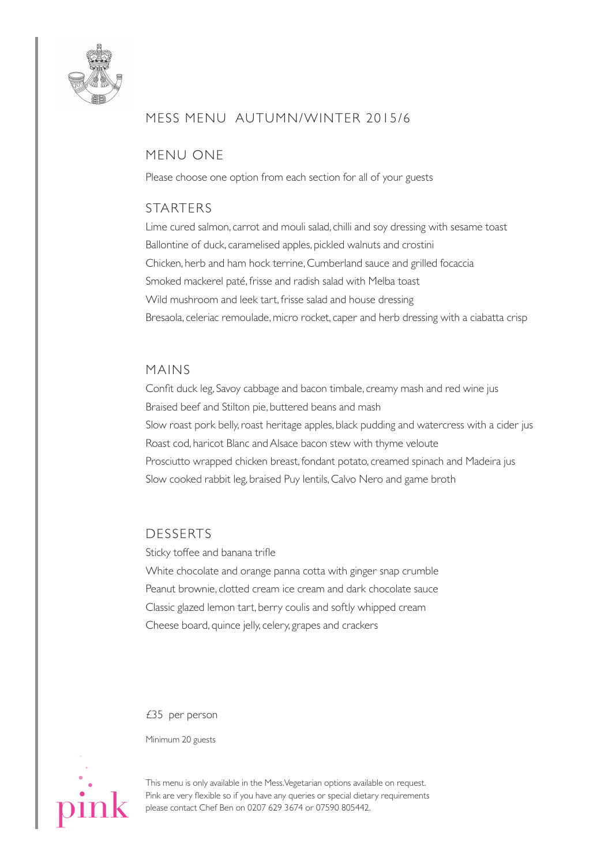

# MESS MENU AUTUMN/WiNTER 2015/6

## MENU oNE

Please choose one option from each section for all of your guests

### STARTERS

Lime cured salmon, carrot and mouli salad, chilli and soy dressing with sesame toast Ballontine of duck, caramelised apples, pickled walnuts and crostini Chicken, herb and ham hock terrine, Cumberland sauce and grilled focaccia Smoked mackerel paté, frisse and radish salad with Melba toast Wild mushroom and leek tart, frisse salad and house dressing Bresaola, celeriac remoulade,micro rocket, caper and herb dressing with a ciabatta crisp

#### MAiNS

Confit duck leg, Savoy cabbage and bacon timbale, creamy mash and red wine jus Braised beef and Stilton pie, buttered beans and mash Slow roast pork belly, roast heritage apples, black pudding and watercress with a cider jus Roast cod, haricot Blanc and Alsace bacon stew with thyme veloute Prosciutto wrapped chicken breast, fondant potato, creamed spinach and Madeira jus Slow cooked rabbit leg, braised Puy lentils, Calvo Nero and game broth

#### DESSERTS

Sticky toffee and banana trifle White chocolate and orange panna cotta with ginger snap crumble Peanut brownie, clotted cream ice cream and dark chocolate sauce Classic glazed lemon tart, berry coulis and softly whipped cream Cheese board, quince jelly, celery, grapes and crackers

£35 per person

Minimum 20 guests



This menu is only available in the Mess.Vegetarian options available on request. Pink are very flexible so if you have any queries or special dietary requirements please contact Chef Ben on 0207 629 3674 or 07590 805442.